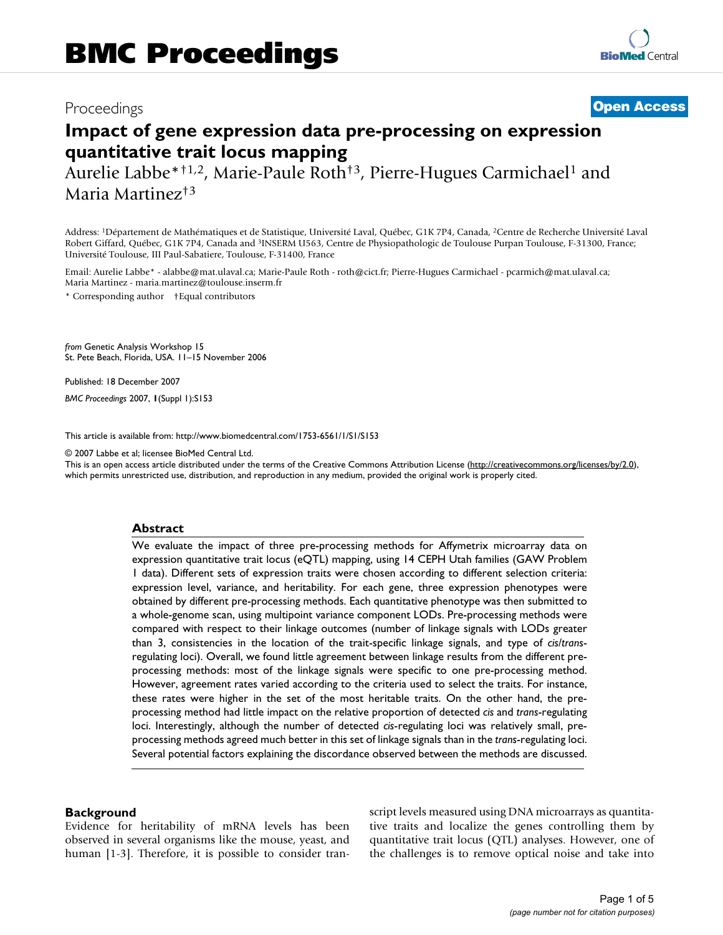## Proceedings **[Open Access](http://www.biomedcentral.com/info/about/charter/)**

# **Impact of gene expression data pre-processing on expression quantitative trait locus mapping**

Aurelie Labbe\*†1,2, Marie-Paule Roth†3, Pierre-Hugues Carmichael1 and Maria Martinez†3

Address: 1Département de Mathématiques et de Statistique, Université Laval, Québec, G1K 7P4, Canada, 2Centre de Recherche Université Laval Robert Giffard, Québec, G1K 7P4, Canada and 3INSERM U563, Centre de Physiopathologic de Toulouse Purpan Toulouse, F-31300, France; Université Toulouse, III Paul-Sabatiere, Toulouse, F-31400, France

Email: Aurelie Labbe\* - alabbe@mat.ulaval.ca; Marie-Paule Roth - roth@cict.fr; Pierre-Hugues Carmichael - pcarmich@mat.ulaval.ca; Maria Martinez - maria.martinez@toulouse.inserm.fr

\* Corresponding author †Equal contributors

*from* Genetic Analysis Workshop 15 St. Pete Beach, Florida, USA. 11–15 November 2006

Published: 18 December 2007

*BMC Proceedings* 2007, **1**(Suppl 1):S153

[This article is available from: http://www.biomedcentral.com/1753-6561/1/S1/S153](http://www.biomedcentral.com/1753-6561/1/S1/S153)

© 2007 Labbe et al; licensee BioMed Central Ltd.

This is an open access article distributed under the terms of the Creative Commons Attribution License [\(http://creativecommons.org/licenses/by/2.0\)](http://creativecommons.org/licenses/by/2.0), which permits unrestricted use, distribution, and reproduction in any medium, provided the original work is properly cited.

#### **Abstract**

We evaluate the impact of three pre-processing methods for Affymetrix microarray data on expression quantitative trait locus (eQTL) mapping, using 14 CEPH Utah families (GAW Problem 1 data). Different sets of expression traits were chosen according to different selection criteria: expression level, variance, and heritability. For each gene, three expression phenotypes were obtained by different pre-processing methods. Each quantitative phenotype was then submitted to a whole-genome scan, using multipoint variance component LODs. Pre-processing methods were compared with respect to their linkage outcomes (number of linkage signals with LODs greater than 3, consistencies in the location of the trait-specific linkage signals, and type of *cis*/*trans*regulating loci). Overall, we found little agreement between linkage results from the different preprocessing methods: most of the linkage signals were specific to one pre-processing method. However, agreement rates varied according to the criteria used to select the traits. For instance, these rates were higher in the set of the most heritable traits. On the other hand, the preprocessing method had little impact on the relative proportion of detected *cis* and *trans*-regulating loci. Interestingly, although the number of detected *cis*-regulating loci was relatively small, preprocessing methods agreed much better in this set of linkage signals than in the *trans*-regulating loci. Several potential factors explaining the discordance observed between the methods are discussed.

#### **Background**

Evidence for heritability of mRNA levels has been observed in several organisms like the mouse, yeast, and human [1-3]. Therefore, it is possible to consider transcript levels measured using DNA microarrays as quantitative traits and localize the genes controlling them by quantitative trait locus (QTL) analyses. However, one of the challenges is to remove optical noise and take into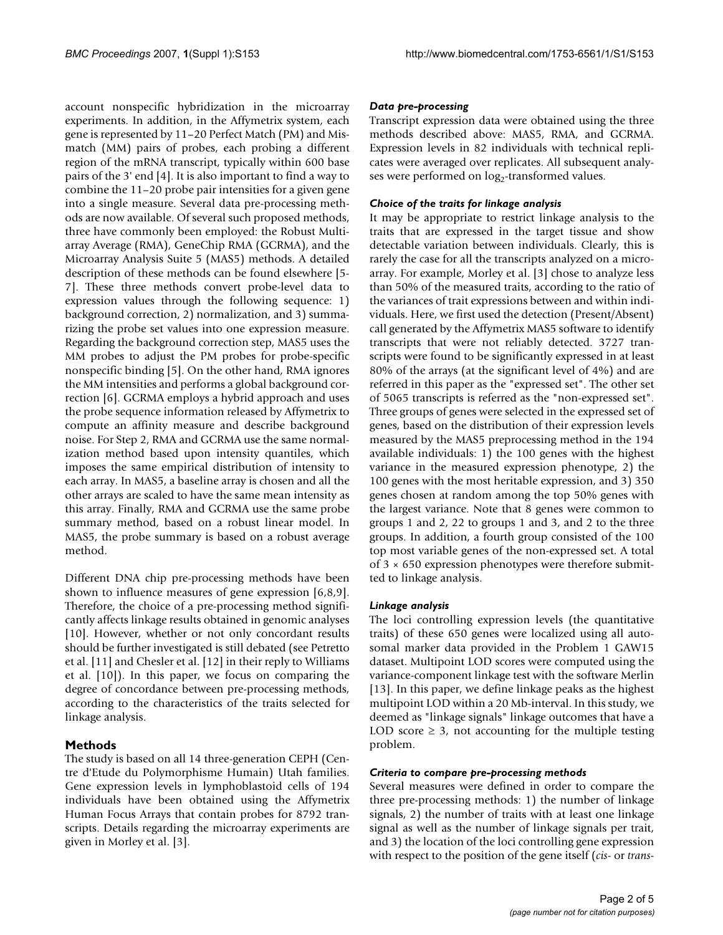account nonspecific hybridization in the microarray experiments. In addition, in the Affymetrix system, each gene is represented by 11–20 Perfect Match (PM) and Mismatch (MM) pairs of probes, each probing a different region of the mRNA transcript, typically within 600 base pairs of the 3' end [4]. It is also important to find a way to combine the 11–20 probe pair intensities for a given gene into a single measure. Several data pre-processing methods are now available. Of several such proposed methods, three have commonly been employed: the Robust Multiarray Average (RMA), GeneChip RMA (GCRMA), and the Microarray Analysis Suite 5 (MAS5) methods. A detailed description of these methods can be found elsewhere [5- 7]. These three methods convert probe-level data to expression values through the following sequence: 1) background correction, 2) normalization, and 3) summarizing the probe set values into one expression measure. Regarding the background correction step, MAS5 uses the MM probes to adjust the PM probes for probe-specific nonspecific binding [5]. On the other hand, RMA ignores the MM intensities and performs a global background correction [6]. GCRMA employs a hybrid approach and uses the probe sequence information released by Affymetrix to compute an affinity measure and describe background noise. For Step 2, RMA and GCRMA use the same normalization method based upon intensity quantiles, which imposes the same empirical distribution of intensity to each array. In MAS5, a baseline array is chosen and all the other arrays are scaled to have the same mean intensity as this array. Finally, RMA and GCRMA use the same probe summary method, based on a robust linear model. In MAS5, the probe summary is based on a robust average method.

Different DNA chip pre-processing methods have been shown to influence measures of gene expression [6,8,9]. Therefore, the choice of a pre-processing method significantly affects linkage results obtained in genomic analyses [10]. However, whether or not only concordant results should be further investigated is still debated (see Petretto et al. [11] and Chesler et al. [12] in their reply to Williams et al. [10]). In this paper, we focus on comparing the degree of concordance between pre-processing methods, according to the characteristics of the traits selected for linkage analysis.

### **Methods**

The study is based on all 14 three-generation CEPH (Centre d'Etude du Polymorphisme Humain) Utah families. Gene expression levels in lymphoblastoid cells of 194 individuals have been obtained using the Affymetrix Human Focus Arrays that contain probes for 8792 transcripts. Details regarding the microarray experiments are given in Morley et al. [3].

#### *Data pre-processing*

Transcript expression data were obtained using the three methods described above: MAS5, RMA, and GCRMA. Expression levels in 82 individuals with technical replicates were averaged over replicates. All subsequent analyses were performed on log<sub>2</sub>-transformed values.

#### *Choice of the traits for linkage analysis*

It may be appropriate to restrict linkage analysis to the traits that are expressed in the target tissue and show detectable variation between individuals. Clearly, this is rarely the case for all the transcripts analyzed on a microarray. For example, Morley et al. [3] chose to analyze less than 50% of the measured traits, according to the ratio of the variances of trait expressions between and within individuals. Here, we first used the detection (Present/Absent) call generated by the Affymetrix MAS5 software to identify transcripts that were not reliably detected. 3727 transcripts were found to be significantly expressed in at least 80% of the arrays (at the significant level of 4%) and are referred in this paper as the "expressed set". The other set of 5065 transcripts is referred as the "non-expressed set". Three groups of genes were selected in the expressed set of genes, based on the distribution of their expression levels measured by the MAS5 preprocessing method in the 194 available individuals: 1) the 100 genes with the highest variance in the measured expression phenotype, 2) the 100 genes with the most heritable expression, and 3) 350 genes chosen at random among the top 50% genes with the largest variance. Note that 8 genes were common to groups 1 and 2, 22 to groups 1 and 3, and 2 to the three groups. In addition, a fourth group consisted of the 100 top most variable genes of the non-expressed set. A total of 3 × 650 expression phenotypes were therefore submitted to linkage analysis.

#### *Linkage analysis*

The loci controlling expression levels (the quantitative traits) of these 650 genes were localized using all autosomal marker data provided in the Problem 1 GAW15 dataset. Multipoint LOD scores were computed using the variance-component linkage test with the software Merlin [13]. In this paper, we define linkage peaks as the highest multipoint LOD within a 20 Mb-interval. In this study, we deemed as "linkage signals" linkage outcomes that have a LOD score  $\geq$  3, not accounting for the multiple testing problem.

#### *Criteria to compare pre-processing methods*

Several measures were defined in order to compare the three pre-processing methods: 1) the number of linkage signals, 2) the number of traits with at least one linkage signal as well as the number of linkage signals per trait, and 3) the location of the loci controlling gene expression with respect to the position of the gene itself (*cis*- or *trans*-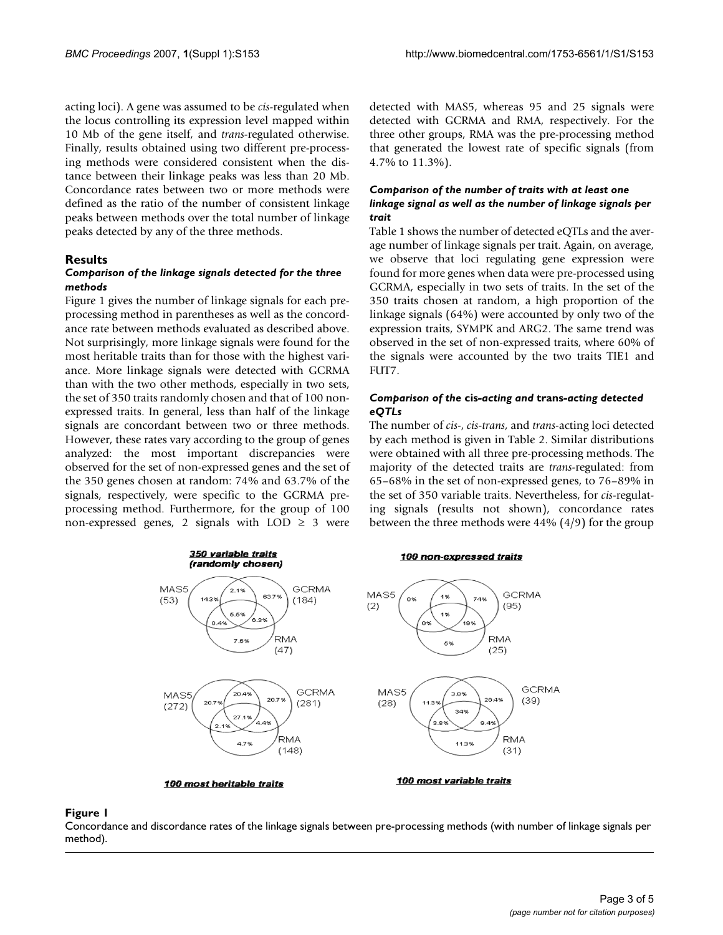acting loci). A gene was assumed to be *cis*-regulated when the locus controlling its expression level mapped within 10 Mb of the gene itself, and *trans*-regulated otherwise. Finally, results obtained using two different pre-processing methods were considered consistent when the distance between their linkage peaks was less than 20 Mb. Concordance rates between two or more methods were defined as the ratio of the number of consistent linkage peaks between methods over the total number of linkage peaks detected by any of the three methods.

#### **Results**

#### *Comparison of the linkage signals detected for the three methods*

Figure 1 gives the number of linkage signals for each preprocessing method in parentheses as well as the concordance rate between methods evaluated as described above. Not surprisingly, more linkage signals were found for the most heritable traits than for those with the highest variance. More linkage signals were detected with GCRMA than with the two other methods, especially in two sets, the set of 350 traits randomly chosen and that of 100 nonexpressed traits. In general, less than half of the linkage signals are concordant between two or three methods. However, these rates vary according to the group of genes analyzed: the most important discrepancies were observed for the set of non-expressed genes and the set of the 350 genes chosen at random: 74% and 63.7% of the signals, respectively, were specific to the GCRMA preprocessing method. Furthermore, for the group of 100 non-expressed genes, 2 signals with  $LOD \geq 3$  were detected with MAS5, whereas 95 and 25 signals were detected with GCRMA and RMA, respectively. For the three other groups, RMA was the pre-processing method that generated the lowest rate of specific signals (from 4.7% to 11.3%).

#### *Comparison of the number of traits with at least one linkage signal as well as the number of linkage signals per trait*

Table 1 shows the number of detected eQTLs and the average number of linkage signals per trait. Again, on average, we observe that loci regulating gene expression were found for more genes when data were pre-processed using GCRMA, especially in two sets of traits. In the set of the 350 traits chosen at random, a high proportion of the linkage signals (64%) were accounted by only two of the expression traits, SYMPK and ARG2. The same trend was observed in the set of non-expressed traits, where 60% of the signals were accounted by the two traits TIE1 and FUT7.

#### *Comparison of the* **cis***-acting and* **trans***-acting detected eQTLs*

The number of *cis*-, *cis*-*trans*, and *trans*-acting loci detected by each method is given in Table 2. Similar distributions were obtained with all three pre-processing methods. The majority of the detected traits are *trans*-regulated: from 65–68% in the set of non-expressed genes, to 76–89% in the set of 350 variable traits. Nevertheless, for *cis*-regulating signals (results not shown), concordance rates between the three methods were 44% (4/9) for the group



Concordance and discordance rates of the linkage signals between pre-processing methods (with number of linkage signals per method).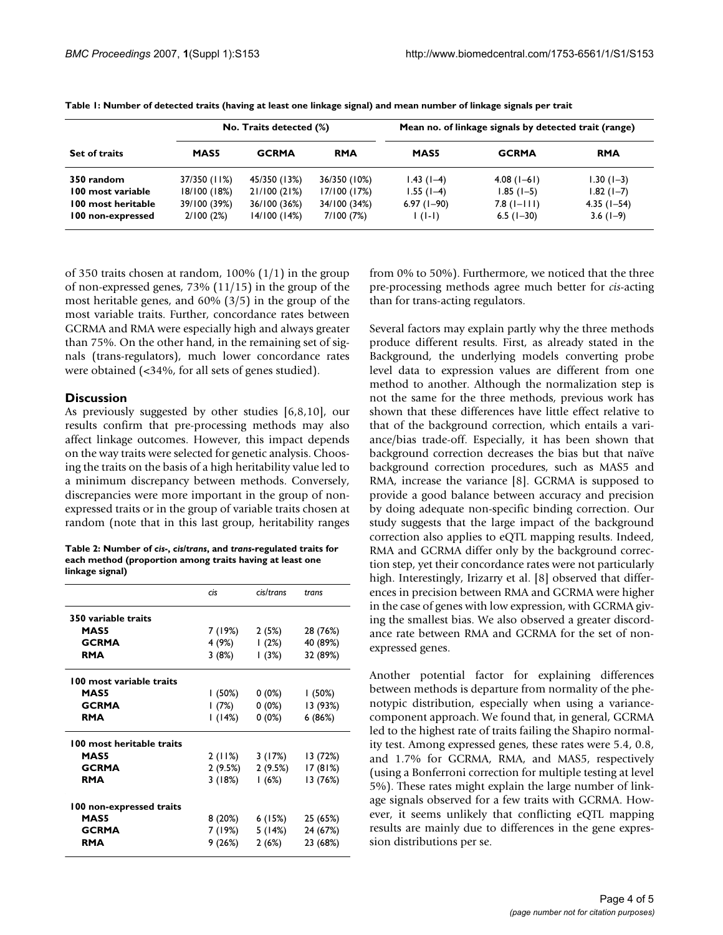| <b>Set of traits</b> | No. Traits detected (%) |              |              | Mean no. of linkage signals by detected trait (range) |                     |               |
|----------------------|-------------------------|--------------|--------------|-------------------------------------------------------|---------------------|---------------|
|                      | MAS5                    | <b>GCRMA</b> | <b>RMA</b>   | MAS5                                                  | <b>GCRMA</b>        | <b>RMA</b>    |
| 350 random           | 37/350 (11%)            | 45/350 (13%) | 36/350 (10%) | $1.43(1-4)$                                           | $4.08(1-6)$         | $1.30(1-3)$   |
| 100 most variable    | 18/100 (18%)            | 21/100 (21%) | 17/100 (17%) | $1.55(1-4)$                                           | $1.85(1-5)$         | $1.82(1 - 7)$ |
| 100 most heritable   | 39/100 (39%)            | 36/100 (36%) | 34/100 (34%) | $6.97(1-90)$                                          | $7.8$ ( $1 - 111$ ) | $4.35(1-54)$  |
| 100 non-expressed    | 2/100(2%)               | 14/100(14%)  | 7/100 (7%)   | $\vert$ ( $\vert$ - $\vert$ )                         | $6.5(1-30)$         | $3.6(1-9)$    |

**Table 1: Number of detected traits (having at least one linkage signal) and mean number of linkage signals per trait**

of 350 traits chosen at random, 100% (1/1) in the group of non-expressed genes, 73% (11/15) in the group of the most heritable genes, and 60% (3/5) in the group of the most variable traits. Further, concordance rates between GCRMA and RMA were especially high and always greater than 75%. On the other hand, in the remaining set of signals (trans-regulators), much lower concordance rates were obtained (<34%, for all sets of genes studied).

#### **Discussion**

As previously suggested by other studies [6,8,10], our results confirm that pre-processing methods may also affect linkage outcomes. However, this impact depends on the way traits were selected for genetic analysis. Choosing the traits on the basis of a high heritability value led to a minimum discrepancy between methods. Conversely, discrepancies were more important in the group of nonexpressed traits or in the group of variable traits chosen at random (note that in this last group, heritability ranges

**Table 2: Number of** *cis***-,** *cis***/***trans***, and** *trans***-regulated traits for each method (proportion among traits having at least one linkage signal)**

|                           | cis      | cis/trans | trans    |
|---------------------------|----------|-----------|----------|
| 350 variable traits       |          |           |          |
| <b>MAS5</b>               | 7 (19%)  | 2(5%)     | 28 (76%) |
| <b>GCRMA</b>              | 4 (9%)   | (2%)      | 40 (89%) |
| <b>RMA</b>                | 3 (8%)   | (3%)      | 32 (89%) |
| 100 most variable traits  |          |           |          |
| <b>MAS5</b>               | l (50%)  | 0 (0%)    | (50%)    |
| <b>GCRMA</b>              | l (7%)   | 0 (0%)    | 13 (93%) |
| <b>RMA</b>                | l (14%)  | $0(0\%)$  | 6(86%)   |
| 100 most heritable traits |          |           |          |
| <b>MAS5</b>               | 2 (11%)  | 3 (17%)   | 13 (72%) |
| <b>GCRMA</b>              | 2 (9.5%) | 2 (9.5%)  | 17(81%)  |
| <b>RMA</b>                | 3 (18%)  | l (6%)    | 13 (76%) |
| 100 non-expressed traits  |          |           |          |
| <b>MAS5</b>               | 8 (20%)  | 6 (15%)   | 25 (65%) |
| <b>GCRMA</b>              | 7 (19%)  | 5 (14%)   | 24 (67%) |
| RMA                       | 9 (26%)  | 2(6%)     | 23 (68%) |
|                           |          |           |          |

from 0% to 50%). Furthermore, we noticed that the three pre-processing methods agree much better for *cis*-acting than for trans-acting regulators.

Several factors may explain partly why the three methods produce different results. First, as already stated in the Background, the underlying models converting probe level data to expression values are different from one method to another. Although the normalization step is not the same for the three methods, previous work has shown that these differences have little effect relative to that of the background correction, which entails a variance/bias trade-off. Especially, it has been shown that background correction decreases the bias but that naïve background correction procedures, such as MAS5 and RMA, increase the variance [8]. GCRMA is supposed to provide a good balance between accuracy and precision by doing adequate non-specific binding correction. Our study suggests that the large impact of the background correction also applies to eQTL mapping results. Indeed, RMA and GCRMA differ only by the background correction step, yet their concordance rates were not particularly high. Interestingly, Irizarry et al. [8] observed that differences in precision between RMA and GCRMA were higher in the case of genes with low expression, with GCRMA giving the smallest bias. We also observed a greater discordance rate between RMA and GCRMA for the set of nonexpressed genes.

Another potential factor for explaining differences between methods is departure from normality of the phenotypic distribution, especially when using a variancecomponent approach. We found that, in general, GCRMA led to the highest rate of traits failing the Shapiro normality test. Among expressed genes, these rates were 5.4, 0.8, and 1.7% for GCRMA, RMA, and MAS5, respectively (using a Bonferroni correction for multiple testing at level 5%). These rates might explain the large number of linkage signals observed for a few traits with GCRMA. However, it seems unlikely that conflicting eQTL mapping results are mainly due to differences in the gene expression distributions per se.